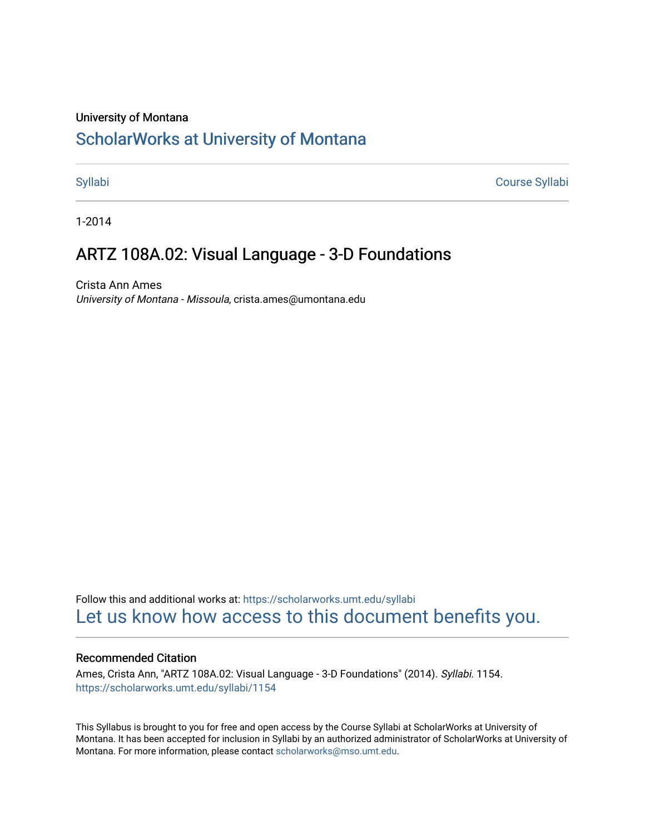#### University of Montana

# [ScholarWorks at University of Montana](https://scholarworks.umt.edu/)

[Syllabi](https://scholarworks.umt.edu/syllabi) [Course Syllabi](https://scholarworks.umt.edu/course_syllabi) 

1-2014

# ARTZ 108A.02: Visual Language - 3-D Foundations

Crista Ann Ames University of Montana - Missoula, crista.ames@umontana.edu

Follow this and additional works at: [https://scholarworks.umt.edu/syllabi](https://scholarworks.umt.edu/syllabi?utm_source=scholarworks.umt.edu%2Fsyllabi%2F1154&utm_medium=PDF&utm_campaign=PDFCoverPages)  [Let us know how access to this document benefits you.](https://goo.gl/forms/s2rGfXOLzz71qgsB2) 

#### Recommended Citation

Ames, Crista Ann, "ARTZ 108A.02: Visual Language - 3-D Foundations" (2014). Syllabi. 1154. [https://scholarworks.umt.edu/syllabi/1154](https://scholarworks.umt.edu/syllabi/1154?utm_source=scholarworks.umt.edu%2Fsyllabi%2F1154&utm_medium=PDF&utm_campaign=PDFCoverPages)

This Syllabus is brought to you for free and open access by the Course Syllabi at ScholarWorks at University of Montana. It has been accepted for inclusion in Syllabi by an authorized administrator of ScholarWorks at University of Montana. For more information, please contact [scholarworks@mso.umt.edu.](mailto:scholarworks@mso.umt.edu)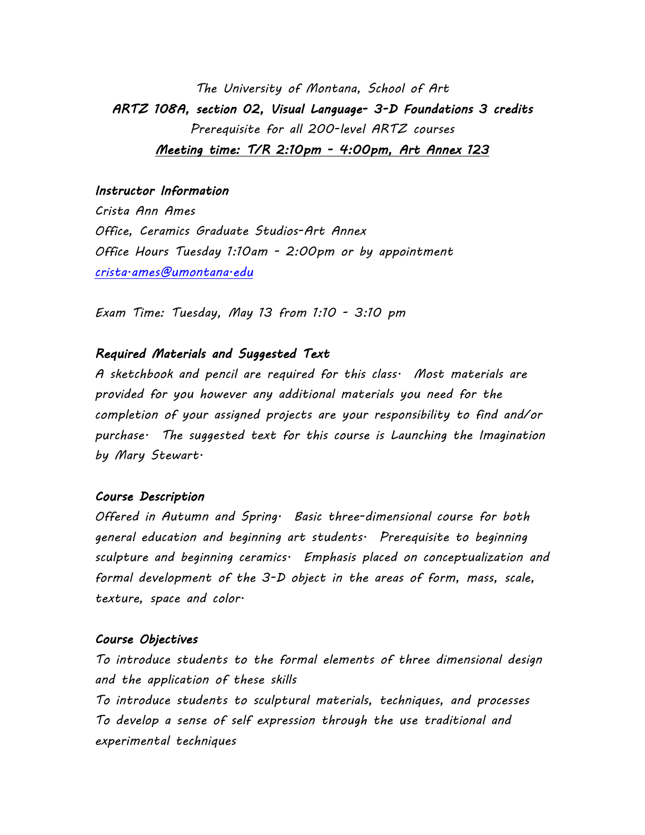*The University of Montana, School of Art ARTZ 108A, section 02, Visual Language- 3-D Foundations 3 credits Prerequisite for all 200-level ARTZ courses Meeting time: T/R 2:10pm - 4:00pm, Art Annex 123* 

#### *Instructor Information*

*Crista Ann Ames Office, Ceramics Graduate Studios-Art Annex Office Hours Tuesday 1:10am - 2:00pm or by appointment [crista.ames@umontana.edu](mailto:CristaAnnAmes@gmail.com)*

*Exam Time: Tuesday, May 13 from 1:10 - 3:10 pm*

### *Required Materials and Suggested Text*

*A sketchbook and pencil are required for this class. Most materials are provided for you however any additional materials you need for the completion of your assigned projects are your responsibility to find and/or purchase. The suggested text for this course is Launching the Imagination by Mary Stewart.*

#### *Course Description*

*Offered in Autumn and Spring. Basic three-dimensional course for both general education and beginning art students. Prerequisite to beginning sculpture and beginning ceramics. Emphasis placed on conceptualization and formal development of the 3-D object in the areas of form, mass, scale, texture, space and color.*

#### *Course Objectives*

*To introduce students to the formal elements of three dimensional design and the application of these skills To introduce students to sculptural materials, techniques, and processes To develop a sense of self expression through the use traditional and experimental techniques*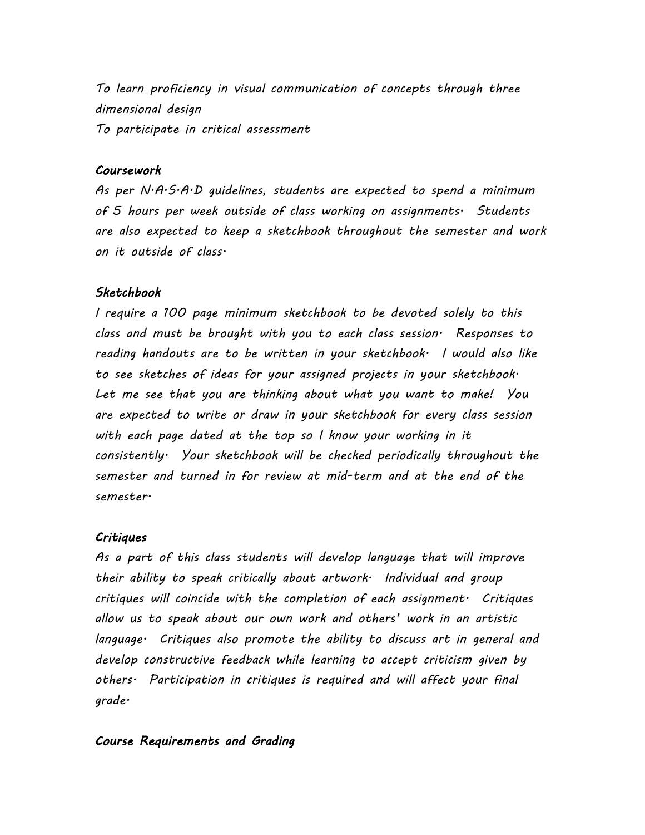*To learn proficiency in visual communication of concepts through three dimensional design To participate in critical assessment*

## *Coursework*

*As per N.A.S.A.D guidelines, students are expected to spend a minimum of 5 hours per week outside of class working on assignments. Students are also expected to keep a sketchbook throughout the semester and work on it outside of class.*

### *Sketchbook*

*I require a 100 page minimum sketchbook to be devoted solely to this class and must be brought with you to each class session. Responses to reading handouts are to be written in your sketchbook. I would also like to see sketches of ideas for your assigned projects in your sketchbook. Let me see that you are thinking about what you want to make! You are expected to write or draw in your sketchbook for every class session with each page dated at the top so I know your working in it consistently. Your sketchbook will be checked periodically throughout the semester and turned in for review at mid-term and at the end of the semester.*

#### *Critiques*

*As a part of this class students will develop language that will improve their ability to speak critically about artwork. Individual and group critiques will coincide with the completion of each assignment. Critiques allow us to speak about our own work and others' work in an artistic language. Critiques also promote the ability to discuss art in general and develop constructive feedback while learning to accept criticism given by others. Participation in critiques is required and will affect your final grade.*

#### *Course Requirements and Grading*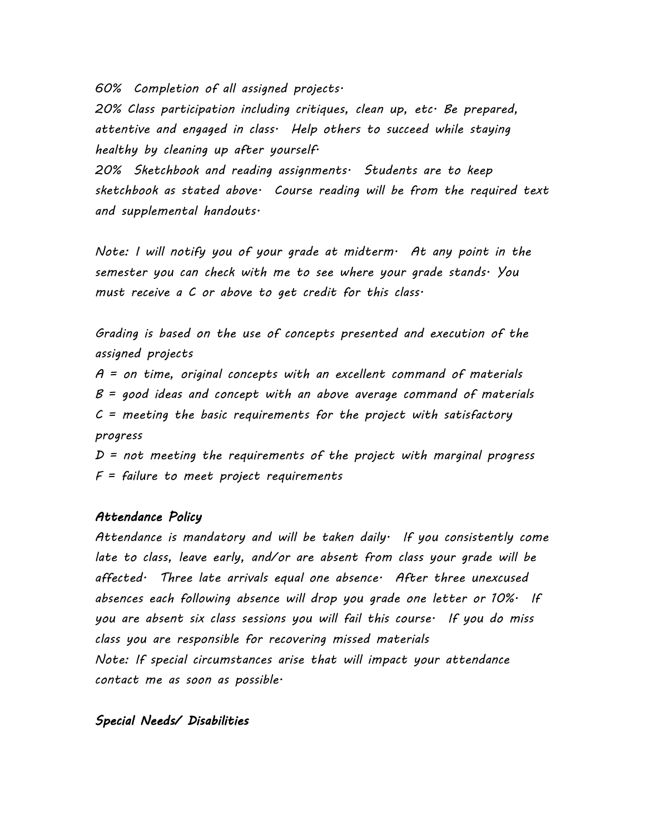*60% Completion of all assigned projects.* 

*20% Class participation including critiques, clean up, etc. Be prepared, attentive and engaged in class. Help others to succeed while staying healthy by cleaning up after yourself.*

*20% Sketchbook and reading assignments. Students are to keep sketchbook as stated above. Course reading will be from the required text and supplemental handouts.*

*Note: I will notify you of your grade at midterm. At any point in the semester you can check with me to see where your grade stands. You must receive a C or above to get credit for this class.*

*Grading is based on the use of concepts presented and execution of the assigned projects*

*A = on time, original concepts with an excellent command of materials B = good ideas and concept with an above average command of materials C = meeting the basic requirements for the project with satisfactory progress*

*D = not meeting the requirements of the project with marginal progress F = failure to meet project requirements*

### *Attendance Policy*

*Attendance is mandatory and will be taken daily. If you consistently come late to class, leave early, and/or are absent from class your grade will be affected. Three late arrivals equal one absence. After three unexcused absences each following absence will drop you grade one letter or 10%. If you are absent six class sessions you will fail this course. If you do miss class you are responsible for recovering missed materials Note: If special circumstances arise that will impact your attendance contact me as soon as possible.*

## *Special Needs/ Disabilities*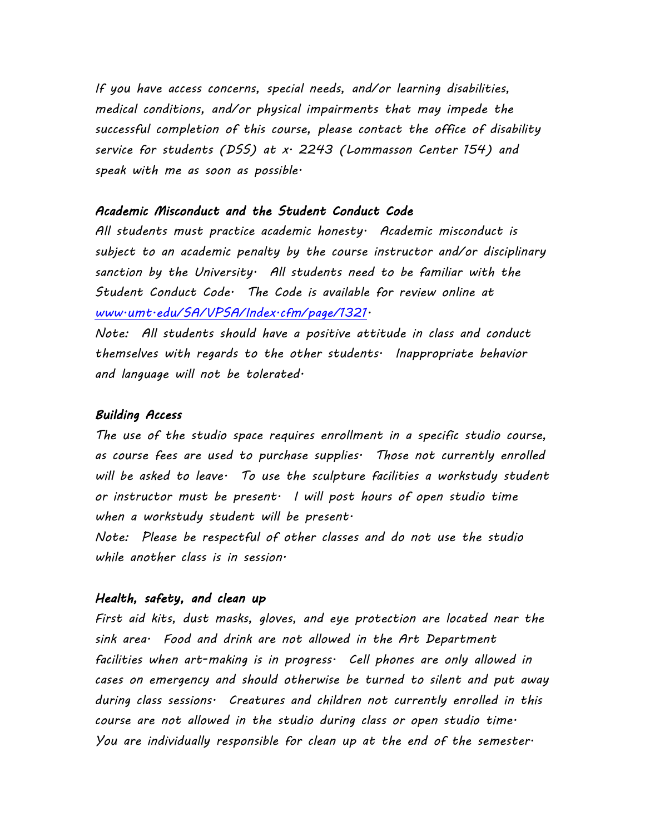*If you have access concerns, special needs, and/or learning disabilities, medical conditions, and/or physical impairments that may impede the successful completion of this course, please contact the office of disability service for students (DSS) at x. 2243 (Lommasson Center 154) and speak with me as soon as possible.*

### *Academic Misconduct and the Student Conduct Code*

*All students must practice academic honesty. Academic misconduct is subject to an academic penalty by the course instructor and/or disciplinary sanction by the University. All students need to be familiar with the Student Conduct Code. The Code is available for review online at [www.umt.edu/SA/VPSA/Index.cfm/page/1321.](http://www.umt.edu/SA/VPSA/Index.cfm/page/1321)*

*Note: All students should have a positive attitude in class and conduct themselves with regards to the other students. Inappropriate behavior and language will not be tolerated.*

#### *Building Access*

*The use of the studio space requires enrollment in a specific studio course, as course fees are used to purchase supplies. Those not currently enrolled will be asked to leave. To use the sculpture facilities a workstudy student or instructor must be present. I will post hours of open studio time when a workstudy student will be present.*

*Note: Please be respectful of other classes and do not use the studio while another class is in session.*

### *Health, safety, and clean up*

*First aid kits, dust masks, gloves, and eye protection are located near the sink area. Food and drink are not allowed in the Art Department facilities when art-making is in progress. Cell phones are only allowed in cases on emergency and should otherwise be turned to silent and put away during class sessions. Creatures and children not currently enrolled in this course are not allowed in the studio during class or open studio time. You are individually responsible for clean up at the end of the semester.*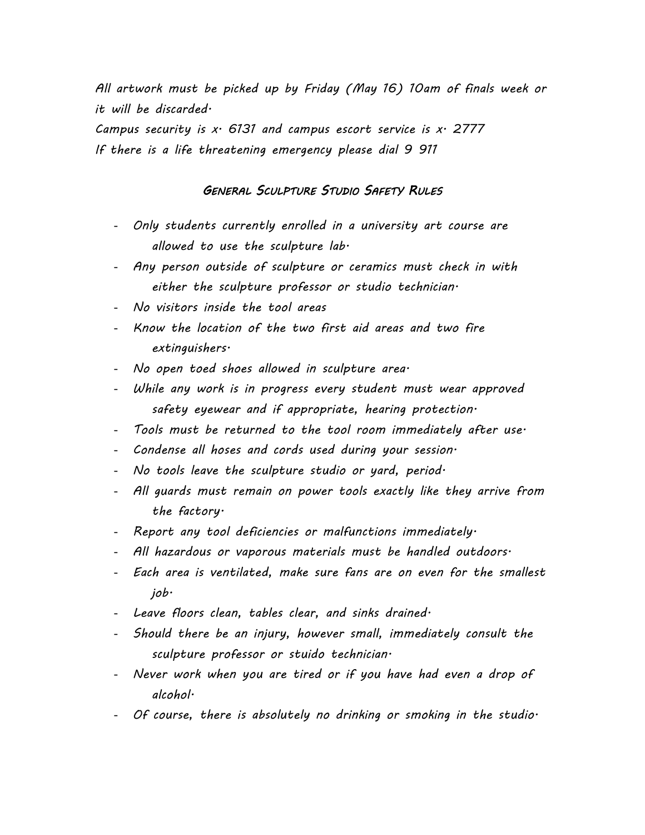*All artwork must be picked up by Friday (May 16) 10am of finals week or it will be discarded.*

*Campus security is x. 6131 and campus escort service is x. 2777 If there is a life threatening emergency please dial 9 911*

### *GENERAL SCULPTURE STUDIO SAFETY RULES*

- *Only students currently enrolled in a university art course are allowed to use the sculpture lab.*
- *Any person outside of sculpture or ceramics must check in with either the sculpture professor or studio technician.*
- *No visitors inside the tool areas*
- *Know the location of the two first aid areas and two fire extinguishers.*
- *No open toed shoes allowed in sculpture area.*
- *While any work is in progress every student must wear approved safety eyewear and if appropriate, hearing protection.*
- *Tools must be returned to the tool room immediately after use.*
- *Condense all hoses and cords used during your session.*
- *No tools leave the sculpture studio or yard, period.*
- *All guards must remain on power tools exactly like they arrive from the factory.*
- *Report any tool deficiencies or malfunctions immediately.*
- *All hazardous or vaporous materials must be handled outdoors.*
- *Each area is ventilated, make sure fans are on even for the smallest job.*
- *Leave floors clean, tables clear, and sinks drained.*
- *Should there be an injury, however small, immediately consult the sculpture professor or stuido technician.*
- *Never work when you are tired or if you have had even a drop of alcohol.*
- *Of course, there is absolutely no drinking or smoking in the studio.*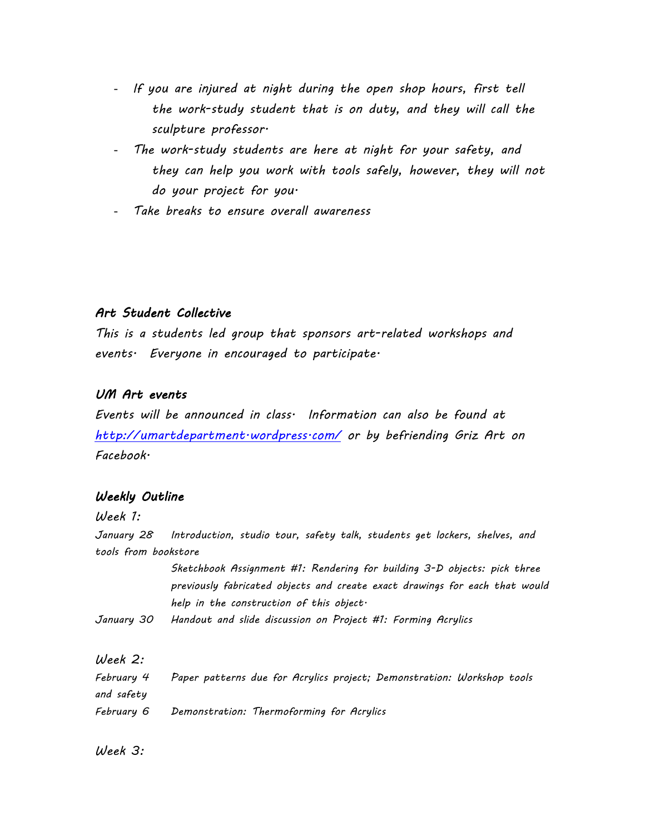- *If you are injured at night during the open shop hours, first tell the work-study student that is on duty, and they will call the sculpture professor.*
- The work-study students are here at night for your safety, and *they can help you work with tools safely, however, they will not do your project for you.*
- *Take breaks to ensure overall awareness*

## *Art Student Collective*

*This is a students led group that sponsors art-related workshops and events. Everyone in encouraged to participate.*

## *UM Art events*

*Events will be announced in class. Information can also be found at <http://umartdepartment.wordpress.com/> or by befriending Griz Art on Facebook.*

# *Weekly Outline*

*Week 1:*

*January 28 Introduction, studio tour, safety talk, students get lockers, shelves, and tools from bookstore* 

> *Sketchbook Assignment #1: Rendering for building 3-D objects: pick three previously fabricated objects and create exact drawings for each that would help in the construction of this object.*

*January 30 Handout and slide discussion on Project #1: Forming Acrylics*

## *Week 2:*

| February 4 | Paper patterns due for Acrylics project; Demonstration: Workshop tools |
|------------|------------------------------------------------------------------------|
| and safety |                                                                        |
| February 6 | Demonstration: Thermoforming for Acrylics                              |

*Week 3:*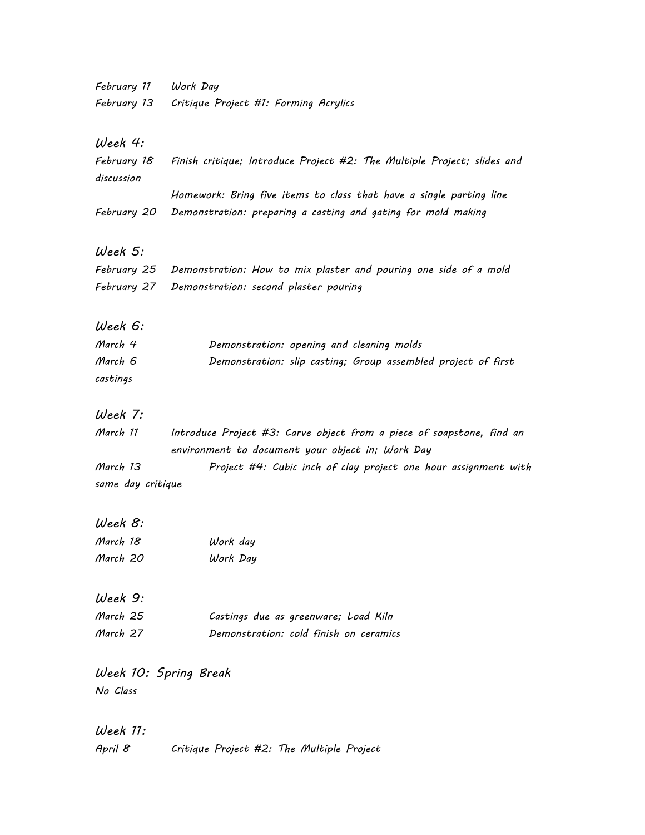| February 11           | Work Day                                                                |
|-----------------------|-------------------------------------------------------------------------|
| February 13           | Critique Project #1: Forming Acrylics                                   |
|                       |                                                                         |
| Week 4:               |                                                                         |
| February 18           | Finish critique; Introduce Project #2: The Multiple Project; slides and |
| discussion            |                                                                         |
|                       | Homework: Bring five items to class that have a single parting line     |
| February 20           | Demonstration: preparing a casting and gating for mold making           |
|                       |                                                                         |
| Week 5:               |                                                                         |
| February 25           | Demonstration: How to mix plaster and pouring one side of a mold        |
| February 27           | Demonstration: second plaster pouring                                   |
|                       |                                                                         |
| Week 6:               |                                                                         |
| March 4               | Demonstration: opening and cleaning molds                               |
| March 6               | Demonstration: slip casting; Group assembled project of first           |
| castings              |                                                                         |
|                       |                                                                         |
| Week 7:               |                                                                         |
| March 11              | Introduce Project #3: Carve object from a piece of soapstone, find an   |
|                       | environment to document your object in; Work Day                        |
| March 13              | Project #4: Cubic inch of clay project one hour assignment with         |
| same day critique     |                                                                         |
|                       |                                                                         |
| Week 8:               |                                                                         |
| March 18              | Work day                                                                |
| March 20              | Work Day                                                                |
|                       |                                                                         |
| Week 9:               |                                                                         |
| March 25              | Castings due as greenware; Load Kiln                                    |
| March 27              | Demonstration: cold finish on ceramics                                  |
|                       |                                                                         |
| Week 10: Spring Break |                                                                         |
| No Class              |                                                                         |
|                       |                                                                         |
| Week 11:              |                                                                         |
| April 8               | Critique Project #2: The Multiple Project                               |
|                       |                                                                         |